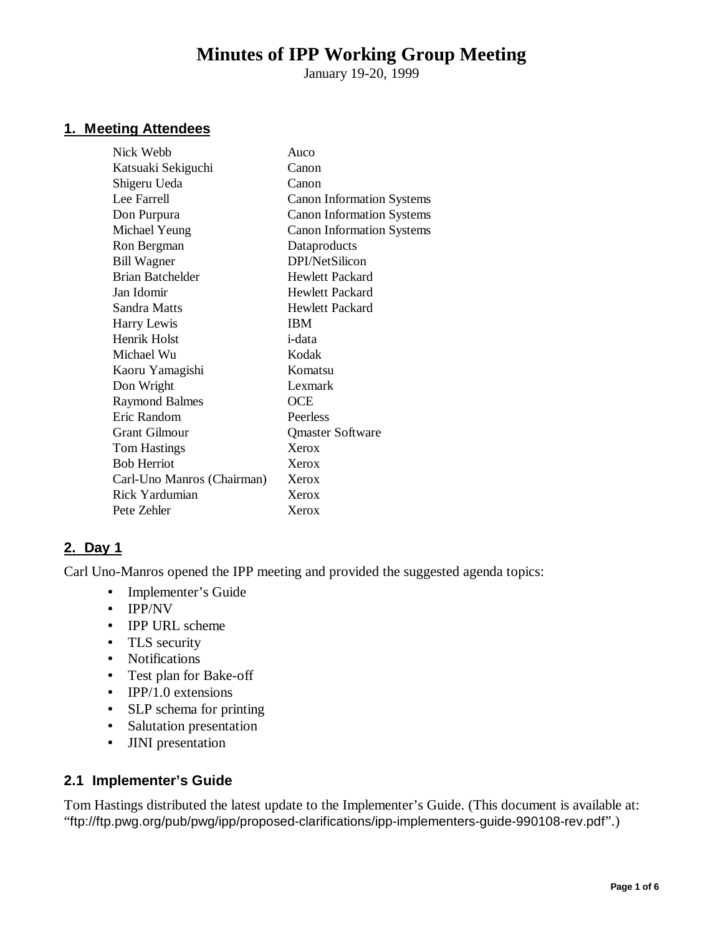# **Minutes of IPP Working Group Meeting**

January 19-20, 1999

#### **1. Meeting Attendees**

| Nick Webb                  | Auco                             |
|----------------------------|----------------------------------|
| Katsuaki Sekiguchi         | Canon                            |
| Shigeru Ueda               | Canon                            |
| Lee Farrell                | <b>Canon Information Systems</b> |
| Don Purpura                | <b>Canon Information Systems</b> |
| Michael Yeung              | <b>Canon Information Systems</b> |
| Ron Bergman                | Dataproducts                     |
| <b>Bill Wagner</b>         | DPI/NetSilicon                   |
| <b>Brian Batchelder</b>    | Hewlett Packard                  |
| Jan Idomir                 | <b>Hewlett Packard</b>           |
| Sandra Matts               | <b>Hewlett Packard</b>           |
| Harry Lewis                | <b>IBM</b>                       |
| Henrik Holst               | <i>i</i> -data                   |
| Michael Wu                 | Kodak                            |
| Kaoru Yamagishi            | Komatsu                          |
| Don Wright                 | Lexmark                          |
| <b>Raymond Balmes</b>      | <b>OCE</b>                       |
| Eric Random                | Peerless                         |
| <b>Grant Gilmour</b>       | <b>Qmaster Software</b>          |
| <b>Tom Hastings</b>        | Xerox                            |
| <b>Bob Herriot</b>         | Xerox                            |
| Carl-Uno Manros (Chairman) | Xerox                            |
| Rick Yardumian             | Xerox                            |
| Pete Zehler                | Xerox                            |

#### **2. Day 1**

Carl Uno-Manros opened the IPP meeting and provided the suggested agenda topics:

- Implementer's Guide
- IPP/NV
- IPP URL scheme
- TLS security
- Notifications
- Test plan for Bake-off
- IPP/1.0 extensions
- SLP schema for printing
- Salutation presentation
- JINI presentation

#### **2.1 Implementer's Guide**

Tom Hastings distributed the latest update to the Implementer's Guide. (This document is available at: "ftp://ftp.pwg.org/pub/pwg/ipp/proposed-clarifications/ipp-implementers-guide-990108-rev.pdf".)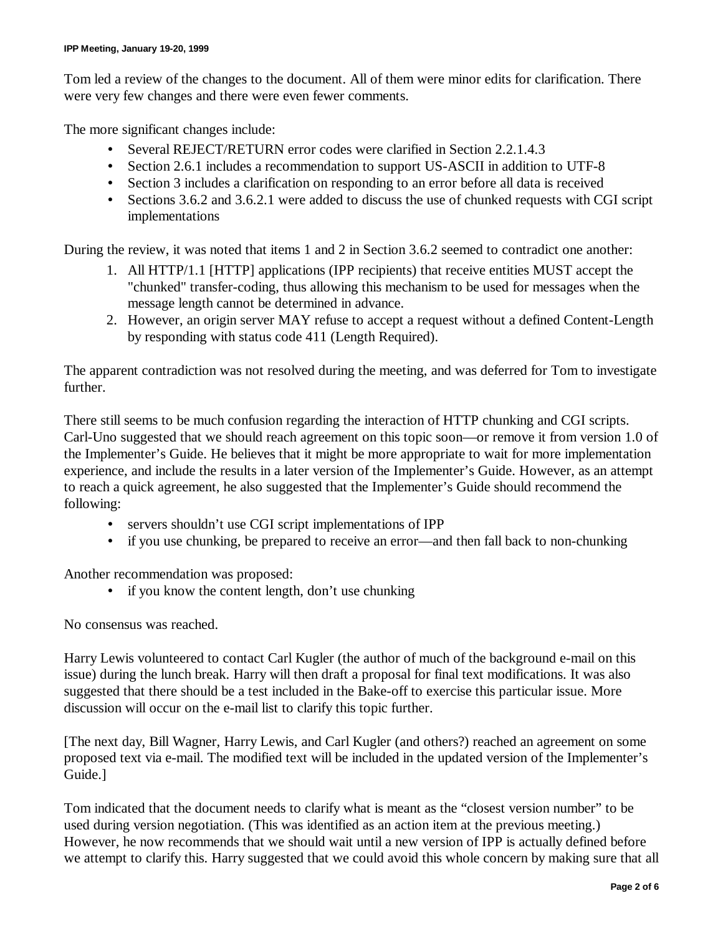Tom led a review of the changes to the document. All of them were minor edits for clarification. There were very few changes and there were even fewer comments.

The more significant changes include:

- Several REJECT/RETURN error codes were clarified in Section 2.2.1.4.3
- Section 2.6.1 includes a recommendation to support US-ASCII in addition to UTF-8
- Section 3 includes a clarification on responding to an error before all data is received
- Sections 3.6.2 and 3.6.2.1 were added to discuss the use of chunked requests with CGI script implementations

During the review, it was noted that items 1 and 2 in Section 3.6.2 seemed to contradict one another:

- 1. All HTTP/1.1 [HTTP] applications (IPP recipients) that receive entities MUST accept the "chunked" transfer-coding, thus allowing this mechanism to be used for messages when the message length cannot be determined in advance.
- 2. However, an origin server MAY refuse to accept a request without a defined Content-Length by responding with status code 411 (Length Required).

The apparent contradiction was not resolved during the meeting, and was deferred for Tom to investigate further.

There still seems to be much confusion regarding the interaction of HTTP chunking and CGI scripts. Carl-Uno suggested that we should reach agreement on this topic soon— or remove it from version 1.0 of the Implementer's Guide. He believes that it might be more appropriate to wait for more implementation experience, and include the results in a later version of the Implementer's Guide. However, as an attempt to reach a quick agreement, he also suggested that the Implementer's Guide should recommend the following:

- servers shouldn't use CGI script implementations of IPP
- if you use chunking, be prepared to receive an error—and then fall back to non-chunking

Another recommendation was proposed:

• if you know the content length, don't use chunking

No consensus was reached.

Harry Lewis volunteered to contact Carl Kugler (the author of much of the background e-mail on this issue) during the lunch break. Harry will then draft a proposal for final text modifications. It was also suggested that there should be a test included in the Bake-off to exercise this particular issue. More discussion will occur on the e-mail list to clarify this topic further.

[The next day, Bill Wagner, Harry Lewis, and Carl Kugler (and others?) reached an agreement on some proposed text via e-mail. The modified text will be included in the updated version of the Implementer's Guide.]

Tom indicated that the document needs to clarify what is meant as the "closest version number" to be used during version negotiation. (This was identified as an action item at the previous meeting.) However, he now recommends that we should wait until a new version of IPP is actually defined before we attempt to clarify this. Harry suggested that we could avoid this whole concern by making sure that all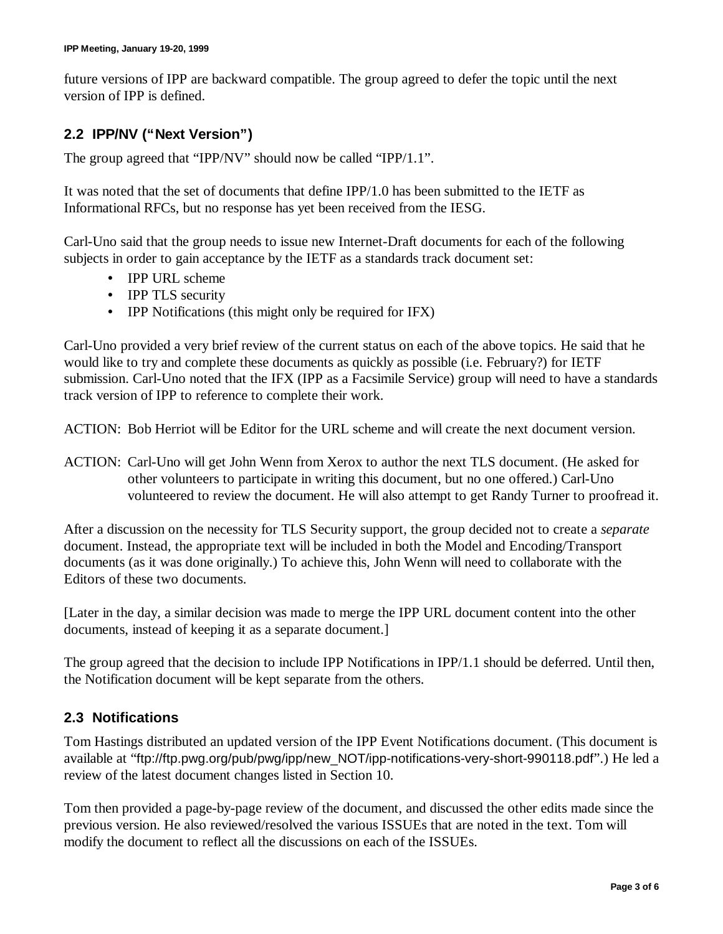future versions of IPP are backward compatible. The group agreed to defer the topic until the next version of IPP is defined.

## **2.2 IPP/NV ("Next Version")**

The group agreed that "IPP/NV" should now be called "IPP/1.1".

It was noted that the set of documents that define IPP/1.0 has been submitted to the IETF as Informational RFCs, but no response has yet been received from the IESG.

Carl-Uno said that the group needs to issue new Internet-Draft documents for each of the following subjects in order to gain acceptance by the IETF as a standards track document set:

- IPP URL scheme
- IPP TLS security
- IPP Notifications (this might only be required for IFX)

Carl-Uno provided a very brief review of the current status on each of the above topics. He said that he would like to try and complete these documents as quickly as possible (i.e. February?) for IETF submission. Carl-Uno noted that the IFX (IPP as a Facsimile Service) group will need to have a standards track version of IPP to reference to complete their work.

ACTION: Bob Herriot will be Editor for the URL scheme and will create the next document version.

ACTION: Carl-Uno will get John Wenn from Xerox to author the next TLS document. (He asked for other volunteers to participate in writing this document, but no one offered.) Carl-Uno volunteered to review the document. He will also attempt to get Randy Turner to proofread it.

After a discussion on the necessity for TLS Security support, the group decided not to create a *separate* document. Instead, the appropriate text will be included in both the Model and Encoding/Transport documents (as it was done originally.) To achieve this, John Wenn will need to collaborate with the Editors of these two documents.

[Later in the day, a similar decision was made to merge the IPP URL document content into the other documents, instead of keeping it as a separate document.]

The group agreed that the decision to include IPP Notifications in IPP/1.1 should be deferred. Until then, the Notification document will be kept separate from the others.

#### **2.3 Notifications**

Tom Hastings distributed an updated version of the IPP Event Notifications document. (This document is available at "ftp://ftp.pwg.org/pub/pwg/ipp/new\_NOT/ipp-notifications-very-short-990118.pdf".) He led a review of the latest document changes listed in Section 10.

Tom then provided a page-by-page review of the document, and discussed the other edits made since the previous version. He also reviewed/resolved the various ISSUEs that are noted in the text. Tom will modify the document to reflect all the discussions on each of the ISSUEs.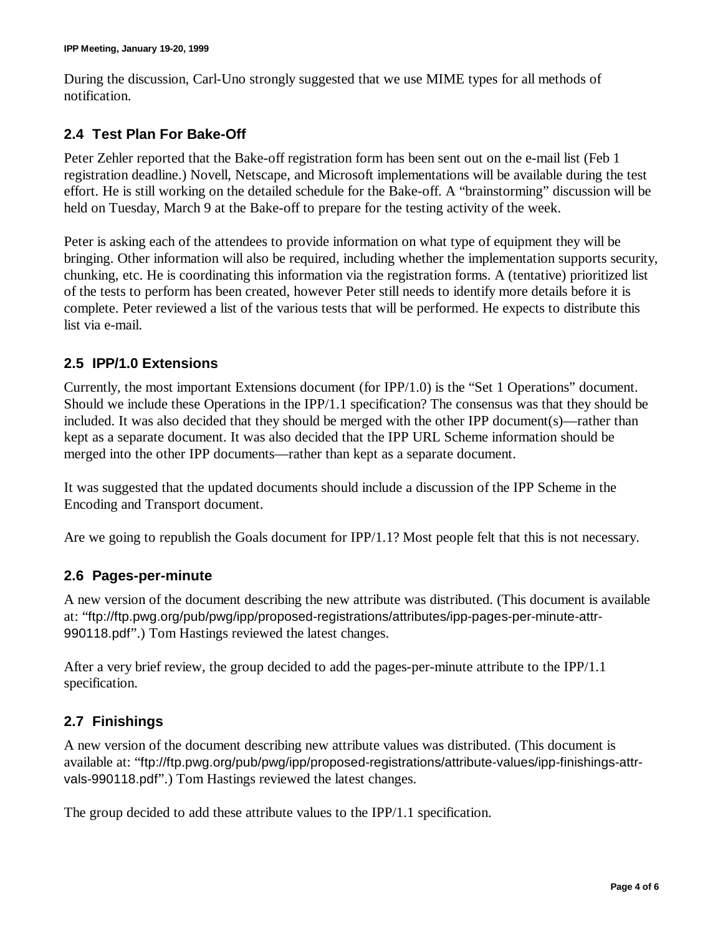During the discussion, Carl-Uno strongly suggested that we use MIME types for all methods of notification.

## **2.4 Test Plan For Bake-Off**

Peter Zehler reported that the Bake-off registration form has been sent out on the e-mail list (Feb 1 registration deadline.) Novell, Netscape, and Microsoft implementations will be available during the test effort. He is still working on the detailed schedule for the Bake-off. A "brainstorming" discussion will be held on Tuesday, March 9 at the Bake-off to prepare for the testing activity of the week.

Peter is asking each of the attendees to provide information on what type of equipment they will be bringing. Other information will also be required, including whether the implementation supports security, chunking, etc. He is coordinating this information via the registration forms. A (tentative) prioritized list of the tests to perform has been created, however Peter still needs to identify more details before it is complete. Peter reviewed a list of the various tests that will be performed. He expects to distribute this list via e-mail.

### **2.5 IPP/1.0 Extensions**

Currently, the most important Extensions document (for IPP/1.0) is the "Set 1 Operations" document. Should we include these Operations in the IPP/1.1 specification? The consensus was that they should be included. It was also decided that they should be merged with the other IPP document(s)— rather than kept as a separate document. It was also decided that the IPP URL Scheme information should be merged into the other IPP documents— rather than kept as a separate document.

It was suggested that the updated documents should include a discussion of the IPP Scheme in the Encoding and Transport document.

Are we going to republish the Goals document for IPP/1.1? Most people felt that this is not necessary.

#### **2.6 Pages-per-minute**

A new version of the document describing the new attribute was distributed. (This document is available at: "ftp://ftp.pwg.org/pub/pwg/ipp/proposed-registrations/attributes/ipp-pages-per-minute-attr-990118.pdf".) Tom Hastings reviewed the latest changes.

After a very brief review, the group decided to add the pages-per-minute attribute to the IPP/1.1 specification.

## **2.7 Finishings**

A new version of the document describing new attribute values was distributed. (This document is available at: "ftp://ftp.pwg.org/pub/pwg/ipp/proposed-registrations/attribute-values/ipp-finishings-attrvals-990118.pdf".) Tom Hastings reviewed the latest changes.

The group decided to add these attribute values to the IPP/1.1 specification.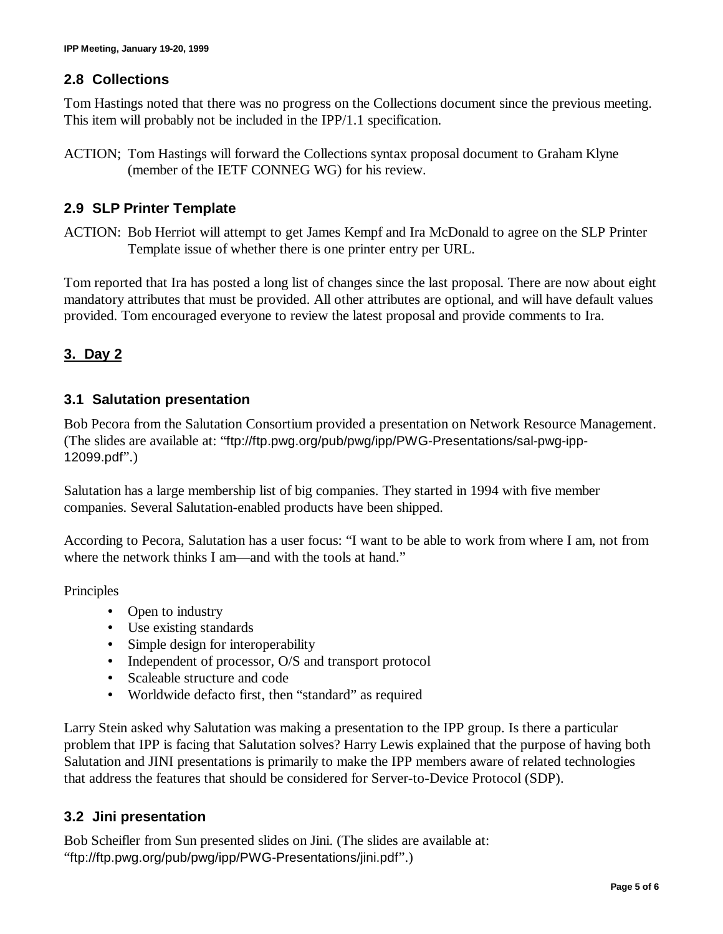### **2.8 Collections**

Tom Hastings noted that there was no progress on the Collections document since the previous meeting. This item will probably not be included in the IPP/1.1 specification.

ACTION; Tom Hastings will forward the Collections syntax proposal document to Graham Klyne (member of the IETF CONNEG WG) for his review.

#### **2.9 SLP Printer Template**

ACTION: Bob Herriot will attempt to get James Kempf and Ira McDonald to agree on the SLP Printer Template issue of whether there is one printer entry per URL.

Tom reported that Ira has posted a long list of changes since the last proposal. There are now about eight mandatory attributes that must be provided. All other attributes are optional, and will have default values provided. Tom encouraged everyone to review the latest proposal and provide comments to Ira.

## **3. Day 2**

#### **3.1 Salutation presentation**

Bob Pecora from the Salutation Consortium provided a presentation on Network Resource Management. (The slides are available at: "ftp://ftp.pwg.org/pub/pwg/ipp/PWG-Presentations/sal-pwg-ipp-12099.pdf".)

Salutation has a large membership list of big companies. They started in 1994 with five member companies. Several Salutation-enabled products have been shipped.

According to Pecora, Salutation has a user focus: "I want to be able to work from where I am, not from where the network thinks I am—and with the tools at hand."

Principles

- Open to industry
- Use existing standards
- Simple design for interoperability
- Independent of processor, O/S and transport protocol
- Scaleable structure and code
- Worldwide defacto first, then "standard" as required

Larry Stein asked why Salutation was making a presentation to the IPP group. Is there a particular problem that IPP is facing that Salutation solves? Harry Lewis explained that the purpose of having both Salutation and JINI presentations is primarily to make the IPP members aware of related technologies that address the features that should be considered for Server-to-Device Protocol (SDP).

#### **3.2 Jini presentation**

Bob Scheifler from Sun presented slides on Jini. (The slides are available at: "ftp://ftp.pwg.org/pub/pwg/ipp/PWG-Presentations/jini.pdf".)